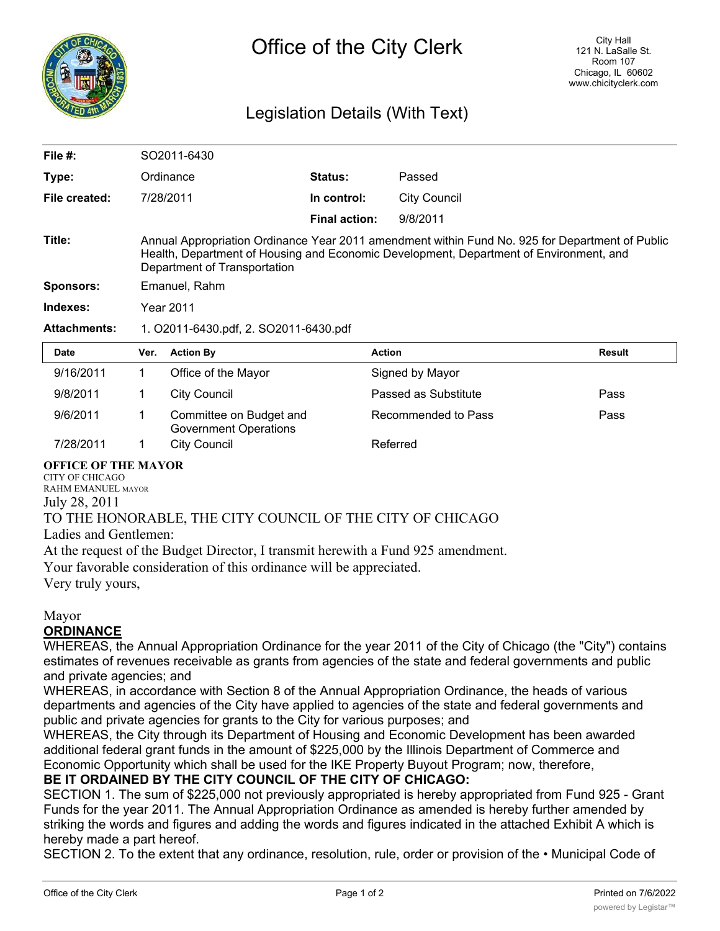

# Legislation Details (With Text)

| File $#$ :          | SO2011-6430                                                                                                                                                                                                               |                      |               |        |  |  |  |
|---------------------|---------------------------------------------------------------------------------------------------------------------------------------------------------------------------------------------------------------------------|----------------------|---------------|--------|--|--|--|
| Type:               | Ordinance                                                                                                                                                                                                                 | <b>Status:</b>       | Passed        |        |  |  |  |
| File created:       | 7/28/2011                                                                                                                                                                                                                 | In control:          | City Council  |        |  |  |  |
|                     |                                                                                                                                                                                                                           | <b>Final action:</b> | 9/8/2011      |        |  |  |  |
| Title:              | Annual Appropriation Ordinance Year 2011 amendment within Fund No. 925 for Department of Public<br>Health, Department of Housing and Economic Development, Department of Environment, and<br>Department of Transportation |                      |               |        |  |  |  |
| <b>Sponsors:</b>    | Emanuel, Rahm                                                                                                                                                                                                             |                      |               |        |  |  |  |
| Indexes:            | <b>Year 2011</b>                                                                                                                                                                                                          |                      |               |        |  |  |  |
| <b>Attachments:</b> | 1. O2011-6430.pdf, 2. SO2011-6430.pdf                                                                                                                                                                                     |                      |               |        |  |  |  |
| Date                | Ver. Action Bv                                                                                                                                                                                                            |                      | <b>Action</b> | Result |  |  |  |

| <b>Date</b> | Ver. | <b>Action By</b>                                        | <b>Action</b>        | <b>Result</b> |
|-------------|------|---------------------------------------------------------|----------------------|---------------|
| 9/16/2011   |      | Office of the Mayor                                     | Signed by Mayor      |               |
| 9/8/2011    |      | City Council                                            | Passed as Substitute | Pass          |
| 9/6/2011    |      | Committee on Budget and<br><b>Government Operations</b> | Recommended to Pass  | Pass          |
| 7/28/2011   |      | City Council                                            | Referred             |               |

#### **OFFICE OF THE MAYOR**

CITY OF CHICAGO RAHM EMANUEL MAYOR July 28, 2011

### TO THE HONORABLE, THE CITY COUNCIL OF THE CITY OF CHICAGO

Ladies and Gentlemen:

At the request of the Budget Director, I transmit herewith a Fund 925 amendment.

Your favorable consideration of this ordinance will be appreciated.

Very truly yours,

#### Mayor **ORDINANCE**

WHEREAS, the Annual Appropriation Ordinance for the year 2011 of the City of Chicago (the "City") contains estimates of revenues receivable as grants from agencies of the state and federal governments and public and private agencies; and

WHEREAS, in accordance with Section 8 of the Annual Appropriation Ordinance, the heads of various departments and agencies of the City have applied to agencies of the state and federal governments and public and private agencies for grants to the City for various purposes; and

WHEREAS, the City through its Department of Housing and Economic Development has been awarded additional federal grant funds in the amount of \$225,000 by the Illinois Department of Commerce and Economic Opportunity which shall be used for the IKE Property Buyout Program; now, therefore,

## **BE IT ORDAINED BY THE CITY COUNCIL OF THE CITY OF CHICAGO:**

SECTION 1. The sum of \$225,000 not previously appropriated is hereby appropriated from Fund 925 - Grant Funds for the year 2011. The Annual Appropriation Ordinance as amended is hereby further amended by striking the words and figures and adding the words and figures indicated in the attached Exhibit A which is hereby made a part hereof.

SECTION 2. To the extent that any ordinance, resolution, rule, order or provision of the • Municipal Code of